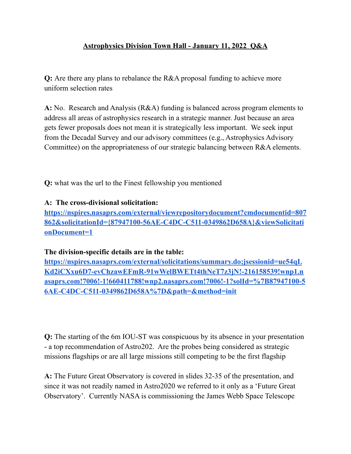## **Astrophysics Division Town Hall - January 11, 2022 Q&A**

 **Q:** Are there any plans to rebalance the R&A proposal funding to achieve more uniform selection rates

 **A:** No. Research and Analysis (R&A) funding is balanced across program elements to address all areas of astrophysics research in a strategic manner. Just because an area gets fewer proposals does not mean it is strategically less important. We seek input from the Decadal Survey and our advisory committees (e.g., Astrophysics Advisory Committee) on the appropriateness of our strategic balancing between R&A elements.

**Q:** what was the url to the Finest fellowship you mentioned

## **A: The cross-divisional solicitation:**

**[https://nspires.nasaprs.com/external/viewrepositorydocument?cmdocumentid=807](https://nspires.nasaprs.com/external/viewrepositorydocument?cmdocumentid=807862&solicitationId=%7B87947100-56AE-C4DC-C511-0349862D658A%7D&viewSolicitationDocument=1) [862&solicitationId={87947100-56AE-C4DC-C511-0349862D658A}&viewSolicitati](https://nspires.nasaprs.com/external/viewrepositorydocument?cmdocumentid=807862&solicitationId=%7B87947100-56AE-C4DC-C511-0349862D658A%7D&viewSolicitationDocument=1) [onDocument=1](https://nspires.nasaprs.com/external/viewrepositorydocument?cmdocumentid=807862&solicitationId=%7B87947100-56AE-C4DC-C511-0349862D658A%7D&viewSolicitationDocument=1)**

**The division-specific details are in the table:**

**[https://nspires.nasaprs.com/external/solicitations/summary.do;jsessionid=ue54qL](https://nspires.nasaprs.com/external/solicitations/summary.do;jsessionid=ue54qLKd2iCXxu6D7-evChzawEFmR-91wWelBWETt4thNeT7z3jN!-216158539!wnp1.nasaprs.com!7006!-1!660411788!wnp2.nasaprs.com!7006!-1?solId=%7B87947100-56AE-C4DC-C511-0349862D658A%7D&path=&method=init) [Kd2iCXxu6D7-evChzawEFmR-91wWelBWETt4thNeT7z3jN!-216158539!wnp1.n](https://nspires.nasaprs.com/external/solicitations/summary.do;jsessionid=ue54qLKd2iCXxu6D7-evChzawEFmR-91wWelBWETt4thNeT7z3jN!-216158539!wnp1.nasaprs.com!7006!-1!660411788!wnp2.nasaprs.com!7006!-1?solId=%7B87947100-56AE-C4DC-C511-0349862D658A%7D&path=&method=init) [asaprs.com!7006!-1!660411788!wnp2.nasaprs.com!7006!-1?solId=%7B87947100-5](https://nspires.nasaprs.com/external/solicitations/summary.do;jsessionid=ue54qLKd2iCXxu6D7-evChzawEFmR-91wWelBWETt4thNeT7z3jN!-216158539!wnp1.nasaprs.com!7006!-1!660411788!wnp2.nasaprs.com!7006!-1?solId=%7B87947100-56AE-C4DC-C511-0349862D658A%7D&path=&method=init) [6AE-C4DC-C511-0349862D658A%7D&path=&method=init](https://nspires.nasaprs.com/external/solicitations/summary.do;jsessionid=ue54qLKd2iCXxu6D7-evChzawEFmR-91wWelBWETt4thNeT7z3jN!-216158539!wnp1.nasaprs.com!7006!-1!660411788!wnp2.nasaprs.com!7006!-1?solId=%7B87947100-56AE-C4DC-C511-0349862D658A%7D&path=&method=init)**

 **Q:** The starting of the 6m IOU-ST was conspicuous by its absence in your presentation - a top recommendation of Astro202. Are the probes being considered as strategic missions flagships or are all large missions still competing to be the first flagship

 **A:** The Future Great Observatory is covered in slides 32-35 of the presentation, and since it was not readily named in Astro2020 we referred to it only as a 'Future Great Observatory'. Currently NASA is commissioning the James Webb Space Telescope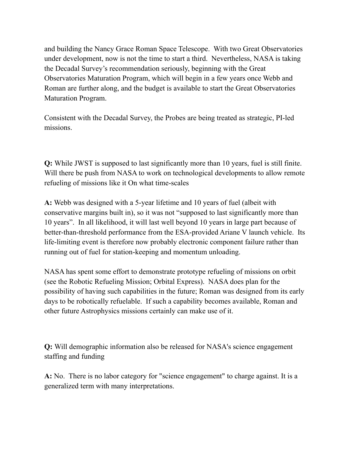and building the Nancy Grace Roman Space Telescope. With two Great Observatories under development, now is not the time to start a third. Nevertheless, NASA is taking the Decadal Survey's recommendation seriously, beginning with the Great Observatories Maturation Program, which will begin in a few years once Webb and Roman are further along, and the budget is available to start the Great Observatories Maturation Program.

 Consistent with the Decadal Survey, the Probes are being treated as strategic, PI-led missions.

 **Q:** While JWST is supposed to last significantly more than 10 years, fuel is still finite. Will there be push from NASA to work on technological developments to allow remote refueling of missions like it On what time-scales

 **A:** Webb was designed with a 5-year lifetime and 10 years of fuel (albeit with conservative margins built in), so it was not "supposed to last significantly more than 10 years". In all likelihood, it will last well beyond 10 years in large part because of better-than-threshold performance from the ESA-provided Ariane V launch vehicle. Its life-limiting event is therefore now probably electronic component failure rather than running out of fuel for station-keeping and momentum unloading.

 NASA has spent some effort to demonstrate prototype refueling of missions on orbit (see the Robotic Refueling Mission; Orbital Express). NASA does plan for the possibility of having such capabilities in the future; Roman was designed from its early days to be robotically refuelable. If such a capability becomes available, Roman and other future Astrophysics missions certainly can make use of it.

 **Q:** Will demographic information also be released for NASA's science engagement staffing and funding

 **A:** No. There is no labor category for "science engagement" to charge against. It is a generalized term with many interpretations.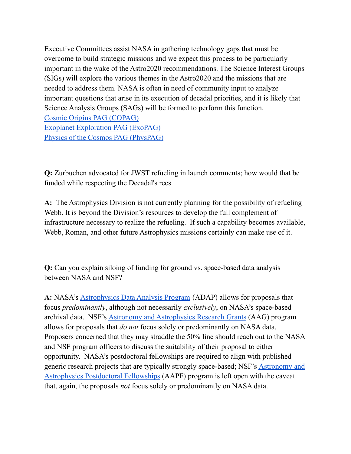## Astrophysics Division Town Hall - January 11, 2022 Q&A

 $Q$ : re tere any plans to realance te proposal undin to acieve more uniorm selection rates

A:  $\alpha$ and nalysis undin is alanced across proram elements to esearc address all areas o astropysics researc in a strateic manner ust ecause an area ets e er proposals does not mean it is strateically less important e see input rom te ecadal urvey and our advisory committees e stropysics dvisory ommittee on te appropriateness o our strateic alancin et een elements

 $Q:$  at as te url to te inest ello sip you mentioned

 $A$ : The cross-divisional solicitation:

https://nspires.nasaprs.com/external/viewrepositorydocument?cmdocumentid 807 862&solicitationId 87947100-56AE-C4DC-C511-0349862D658A&viewSolicitati onDocument 1

The division-specific details are in the table: https://nspires.nasaprs.com/external/solicitations/summary.do;jsessionid\_ue54qL\_ d2iCXxu6D7-evChzawEFmR-91wW elBWETt4thNeT7z3jN-216158539wnp1.n asaprs.com7006-1660411788wnp2.nasaprs.com7006-1?solId %7B87947100-5 6AE-C4DC-C511-0349862D658A%7D&path &method init

Q: e startin  $o$  te m as conspicuous y its asence in your presentation a top recommendation o stro re te proes ein considered as strateic missions lasips or are all lare missions still competin to e te irst lasip

A: e uture reat servatory is covered in slides o te presentation and since it as not readily named in stro e reerred to it only as a uture reat *is commissionin te ames* elescope servatory urrently e pace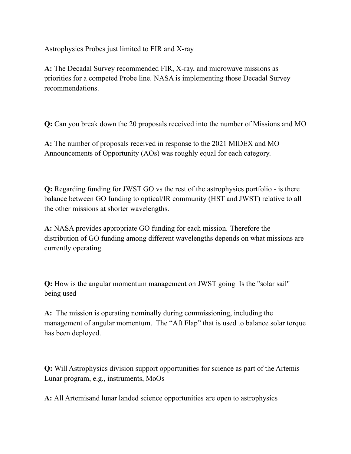Astrophysics Probes just limited to FIR and X-ray

 **A:** The Decadal Survey recommended FIR, X-ray, and microwave missions as priorities for a competed Probe line. NASA is implementing those Decadal Survey recommendations.

**Q:** Can you break down the 20 proposals received into the number of Missions and MO

 **A:** The number of proposals received in response to the 2021 MIDEX and MO Announcements of Opportunity (AOs) was roughly equal for each category.

 **Q:** Regarding funding for JWST GO vs the rest of the astrophysics portfolio - is there balance between GO funding to optical/IR community (HST and JWST) relative to all the other missions at shorter wavelengths.

 **A:** NASA provides appropriate GO funding for each mission. Therefore the distribution of GO funding among different wavelengths depends on what missions are currently operating.

 **Q:** How is the angular momentum management on JWST going Is the "solar sail" being used

 **A:** The mission is operating nominally during commissioning, including the management of angular momentum. The "Aft Flap" that is used to balance solar torque has been deployed.

 **Q:** Will Astrophysics division support opportunities for science as part of the Artemis Lunar program, e.g., instruments, MoOs

**A:** All Artemisand lunar landed science opportunities are open to astrophysics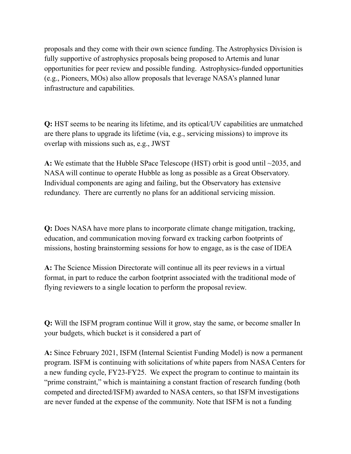proposals and they come with their own science funding. The Astrophysics Division is fully supportive of astrophysics proposals being proposed to Artemis and lunar opportunities for peer review and possible funding. Astrophysics-funded opportunities (e.g., Pioneers, MOs) also allow proposals that leverage NASA's planned lunar infrastructure and capabilities.

 **Q:** HST seems to be nearing its lifetime, and its optical/UV capabilities are unmatched are there plans to upgrade its lifetime (via, e.g., servicing missions) to improve its overlap with missions such as, e.g., JWST

 **A:** We estimate that the Hubble SPace Telescope (HST) orbit is good until ~2035, and NASA will continue to operate Hubble as long as possible as a Great Observatory. Individual components are aging and failing, but the Observatory has extensive redundancy. There are currently no plans for an additional servicing mission.

 **Q:** Does NASA have more plans to incorporate climate change mitigation, tracking, education, and communication moving forward ex tracking carbon footprints of missions, hosting brainstorming sessions for how to engage, as is the case of IDEA

 **A:** The Science Mission Directorate will continue all its peer reviews in a virtual format, in part to reduce the carbon footprint associated with the traditional mode of flying reviewers to a single location to perform the proposal review.

 **Q:** Will the ISFM program continue Will it grow, stay the same, or become smaller In your budgets, which bucket is it considered a part of

 **A:** Since February 2021, ISFM (Internal Scientist Funding Model) is now a permanent program. ISFM is continuing with solicitations of white papers from NASA Centers for a new funding cycle, FY23-FY25. We expect the program to continue to maintain its "prime constraint," which is maintaining a constant fraction of research funding (both competed and directed/ISFM) awarded to NASA centers, so that ISFM investigations are never funded at the expense of the community. Note that ISFM is not a funding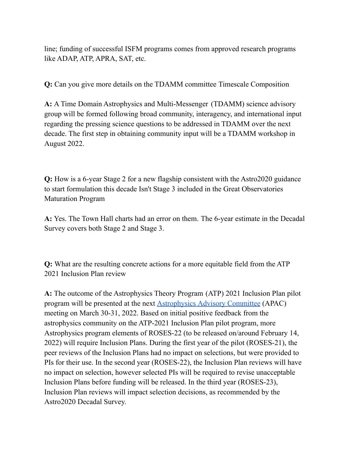line; funding of successful ISFM programs comes from approved research programs like ADAP, ATP, APRA, SAT, etc.

**Q:** Can you give more details on the TDAMM committee Timescale Composition

 **A:** A Time Domain Astrophysics and Multi-Messenger (TDAMM) science advisory group will be formed following broad community, interagency, and international input regarding the pressing science questions to be addressed in TDAMM over the next decade. The first step in obtaining community input will be a TDAMM workshop in August 2022.

 **Q:** How is a 6-year Stage 2 for a new flagship consistent with the Astro2020 guidance to start formulation this decade Isn't Stage 3 included in the Great Observatories Maturation Program

 **A:** Yes. The Town Hall charts had an error on them. The 6-year estimate in the Decadal Survey covers both Stage 2 and Stage 3.

 **Q:** What are the resulting concrete actions for a more equitable field from the ATP 2021 Inclusion Plan review

 **A:** The outcome of the Astrophysics Theory Program (ATP) 2021 Inclusion Plan pilot program will be presented at the next **[Astrophysics](https://science.nasa.gov/researchers/nac/science-advisory-committees/apac) Advisory Committee** (APAC) meeting on March 30-31, 2022. Based on initial positive feedback from the astrophysics community on the ATP-2021 Inclusion Plan pilot program, more Astrophysics program elements of ROSES-22 (to be released on/around February 14, 2022) will require Inclusion Plans. During the first year of the pilot (ROSES-21), the peer reviews of the Inclusion Plans had no impact on selections, but were provided to PIs for their use. In the second year (ROSES-22), the Inclusion Plan reviews will have no impact on selection, however selected PIs will be required to revise unacceptable Inclusion Plans before funding will be released. In the third year (ROSES-23), Inclusion Plan reviews will impact selection decisions, as recommended by the Astro2020 Decadal Survey.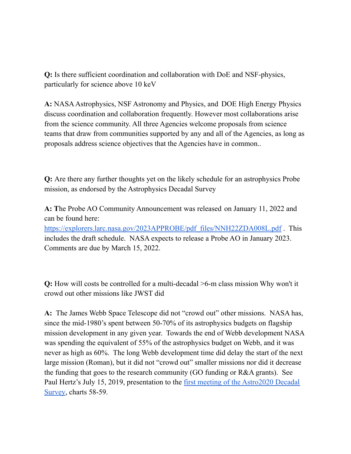**Q:** Is there sufficient coordination and collaboration with DoE and NSF-physics, particularly for science above 10 keV

A: NASA Astrophysics, NSF Astronomy and Physics, and DOE High Energy Physics discuss coordination and collaboration frequently. However most collaborations arise from the science community. All three Agencies welcome proposals from science teams that draw from communities supported by any and all of the Agencies, as long as proposals address science objectives that the Agencies have in common..

 **Q:** Are there any further thoughts yet on the likely schedule for an astrophysics Probe mission, as endorsed by the Astrophysics Decadal Survey

 **A: T**he Probe AO Community Announcement was released on January 11, 2022 and can be found here:

[https://explorers.larc.nasa.gov/2023APPROBE/pdf\\_files/NNH22ZDA008L.pdf](https://explorers.larc.nasa.gov/2023APPROBE/pdf_files/NNH22ZDA008L.pdf) . This includes the draft schedule. NASA expects to release a Probe AO in January 2023. Comments are due by March 15, 2022.

 **Q:** How will costs be controlled for a multi-decadal >6-m class mission Why won't it crowd out other missions like JWST did

 **A:** The James Webb Space Telescope did not "crowd out" other missions. NASA has, since the mid-1980's spent between 50-70% of its astrophysics budgets on flagship mission development in any given year. Towards the end of Webb development NASA was spending the equivalent of 55% of the astrophysics budget on Webb, and it was never as high as 60%. The long Webb development time did delay the start of the next large mission (Roman), but it did not "crowd out" smaller missions nor did it decrease the funding that goes to the research community (GO funding or R&A grants). See Paul Hertz's July 15, 2019, presentation to the **first meeting of the [Astro2020](https://www.nationalacademies.org/event/09-15-2019/decadal-survey-on-astronomy-and-astrophysics-2020) Decadal** [Survey](https://www.nationalacademies.org/event/09-15-2019/decadal-survey-on-astronomy-and-astrophysics-2020), charts 58-59.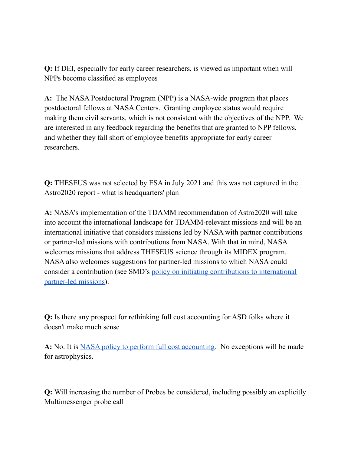**Q:** If DEI, especially for early career researchers, is viewed as important when will NPPs become classified as employees

 **A:** The NASA Postdoctoral Program (NPP) is a NASA-wide program that places postdoctoral fellows at NASA Centers. Granting employee status would require making them civil servants, which is not consistent with the objectives of the NPP. We are interested in any feedback regarding the benefits that are granted to NPP fellows, and whether they fall short of employee benefits appropriate for early career researchers.

 **Q:** THESEUS was not selected by ESA in July 2021 and this was not captured in the Astro2020 report - what is headquarters' plan

 **A:** NASA's implementation of the TDAMM recommendation of Astro2020 will take into account the international landscape for TDAMM-relevant missions and will be an international initiative that considers missions led by NASA with partner contributions or partner-led missions with contributions from NASA. With that in mind, NASA welcomes missions that address THESEUS science through its MIDEX program. NASA also welcomes suggestions for partner-led missions to which NASA could consider a contribution (see SMD's policy on initiating [contributions](https://science.nasa.gov/files/science-pink/s3fs-public/atoms/files/Draft_SPD_Partner-led_Missions_V3_Tagged.pdf) to international [partner-led](https://science.nasa.gov/files/science-pink/s3fs-public/atoms/files/Draft_SPD_Partner-led_Missions_V3_Tagged.pdf) missions).

 **Q:** Is there any prospect for rethinking full cost accounting for ASD folks where it doesn't make much sense

A: No. It is NASA policy to perform full cost [accounting](https://www.nasa.gov/offices/ocfo/references/ocfo_fullCost_detail.html). No exceptions will be made for astrophysics.

 **Q:** Will increasing the number of Probes be considered, including possibly an explicitly Multimessenger probe call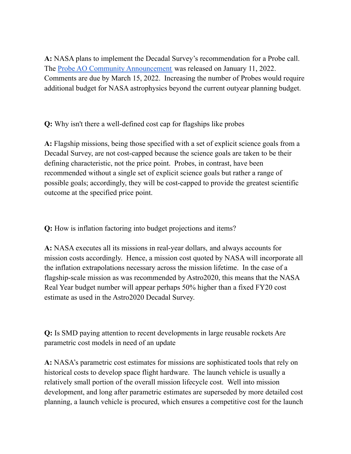**A:** NASA plans to implement the Decadal Survey's recommendation for a Probe call. The **Probe AO Community [Announcement](https://explorers.larc.nasa.gov/2023APPROBE/pdf_files/NNH22ZDA008L.pdf)** was released on January 11, 2022. Comments are due by March 15, 2022. Increasing the number of Probes would require additional budget for NASA astrophysics beyond the current outyear planning budget.

**Q:** Why isn't there a well-defined cost cap for flagships like probes

 **A:** Flagship missions, being those specified with a set of explicit science goals from a Decadal Survey, are not cost-capped because the science goals are taken to be their defining characteristic, not the price point. Probes, in contrast, have been recommended without a single set of explicit science goals but rather a range of possible goals; accordingly, they will be cost-capped to provide the greatest scientific outcome at the specified price point.

**Q:** How is inflation factoring into budget projections and items?

 **A:** NASA executes all its missions in real-year dollars, and always accounts for mission costs accordingly. Hence, a mission cost quoted by NASA will incorporate all the inflation extrapolations necessary across the mission lifetime. In the case of a flagship-scale mission as was recommended by Astro2020, this means that the NASA Real Year budget number will appear perhaps 50% higher than a fixed FY20 cost estimate as used in the Astro2020 Decadal Survey.

 **Q:** Is SMD paying attention to recent developments in large reusable rockets Are parametric cost models in need of an update

 **A:** NASA's parametric cost estimates for missions are sophisticated tools that rely on historical costs to develop space flight hardware. The launch vehicle is usually a relatively small portion of the overall mission lifecycle cost. Well into mission development, and long after parametric estimates are superseded by more detailed cost planning, a launch vehicle is procured, which ensures a competitive cost for the launch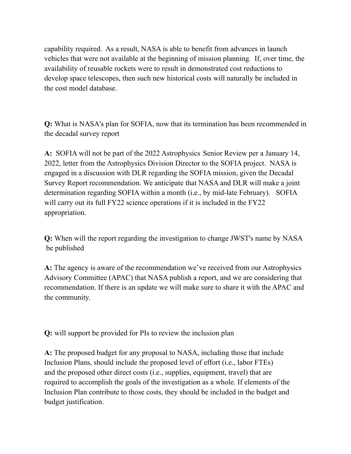capability required. As a result, NASA is able to benefit from advances in launch vehicles that were not available at the beginning of mission planning. If, over time, the availability of reusable rockets were to result in demonstrated cost reductions to develop space telescopes, then such new historical costs will naturally be included in the cost model database.

 **Q:** What is NASA's plan for SOFIA, now that its termination has been recommended in the decadal survey report

 **A:** SOFIA will not be part of the 2022 Astrophysics Senior Review per a January 14, 2022, letter from the Astrophysics Division Director to the SOFIA project. NASA is engaged in a discussion with DLR regarding the SOFIA mission, given the Decadal Survey Report recommendation. We anticipate that NASA and DLR will make a joint determination regarding SOFIA within a month (i.e., by mid-late February). SOFIA will carry out its full FY22 science operations if it is included in the FY22 appropriation.

 **Q:** When will the report regarding the investigation to change JWST's name by NASA be published

 **A:** The agency is aware of the recommendation we've received from our Astrophysics Advisory Committee (APAC) that NASA publish a report, and we are considering that recommendation. If there is an update we will make sure to share it with the APAC and the community.

**Q:** will support be provided for PIs to review the inclusion plan

 **A:** The proposed budget for any proposal to NASA, including those that include Inclusion Plans, should include the proposed level of effort (i.e., labor FTEs) and the proposed other direct costs (i.e., supplies, equipment, travel) that are required to accomplish the goals of the investigation as a whole. If elements of the Inclusion Plan contribute to those costs, they should be included in the budget and budget justification.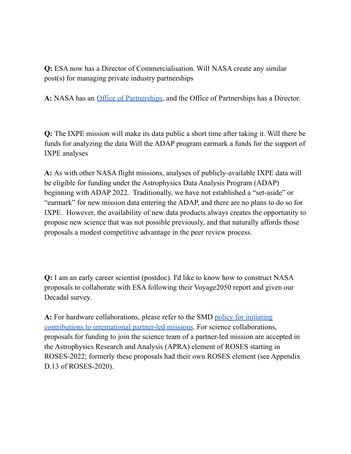**Q:** ESA now has a Director of Commercialisation. Will NASA create any similar post(s) for managing private industry partnerships

**A:** NASA has an Office of [Partnerships](https://www.nasa.gov/partnerships.html), and the Office of Partnerships has a Director.

 **Q:** The IXPE mission will make its data public a short time after taking it. Will there be funds for analyzing the data Will the ADAP program earmark a funds for the support of IXPE analyses

 **A:** As with other NASA flight missions, analyses of publicly-available IXPE data will be eligible for funding under the Astrophysics Data Analysis Program (ADAP) beginning with ADAP 2022. Traditionally, we have not established a "set-aside" or "earmark" for new mission data entering the ADAP, and there are no plans to do so for IXPE. However, the availability of new data products always creates the opportunity to propose new science that was not possible previously, and that naturally affords those proposals a modest competitive advantage in the peer review process.

 **Q:** I am an early career scientist (postdoc). I'd like to know how to construct NASA proposals to collaborate with ESA following their Voyage2050 report and given our Decadal survey.

 **A:** For hardware collaborations, please refer to the SMD policy for [initiating](https://science.nasa.gov/files/science-pink/s3fs-public/atoms/files/Draft_SPD_Partner-led_Missions_V3_Tagged.pdf) [contributions](https://science.nasa.gov/files/science-pink/s3fs-public/atoms/files/Draft_SPD_Partner-led_Missions_V3_Tagged.pdf) to international partner-led missions. For science collaborations, proposals for funding to join the science team of a partner-led mission are accepted in the Astrophysics Research and Analysis (APRA) element of ROSES starting in ROSES-2022; formerly these proposals had their own ROSES element (see Appendix D.13 of ROSES-2020).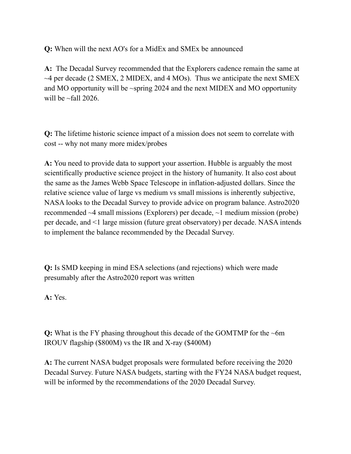**Q:** When will the next AO's for a MidEx and SMEx be announced

 **A:** The Decadal Survey recommended that the Explorers cadence remain the same at  $\sim$ 4 per decade (2 SMEX, 2 MIDEX, and 4 MOs). Thus we anticipate the next SMEX and MO opportunity will be ~spring 2024 and the next MIDEX and MO opportunity will be  $\sim$ fall 2026.

 **Q:** The lifetime historic science impact of a mission does not seem to correlate with cost -- why not many more midex/probes

 **A:** You need to provide data to support your assertion. Hubble is arguably the most scientifically productive science project in the history of humanity. It also cost about the same as the James Webb Space Telescope in inflation-adjusted dollars. Since the relative science value of large vs medium vs small missions is inherently subjective, NASA looks to the Decadal Survey to provide advice on program balance. Astro2020 recommended ~4 small missions (Explorers) per decade, ~1 medium mission (probe) per decade, and <1 large mission (future great observatory) per decade. NASA intends to implement the balance recommended by the Decadal Survey.

 **Q:** Is SMD keeping in mind ESA selections (and rejections) which were made presumably after the Astro2020 report was written

**A:** Yes.

 **Q:** What is the FY phasing throughout this decade of the GOMTMP for the ~6m IROUV flagship (\$800M) vs the IR and X-ray (\$400M)

 **A:** The current NASA budget proposals were formulated before receiving the 2020 Decadal Survey. Future NASA budgets, starting with the FY24 NASA budget request, will be informed by the recommendations of the 2020 Decadal Survey.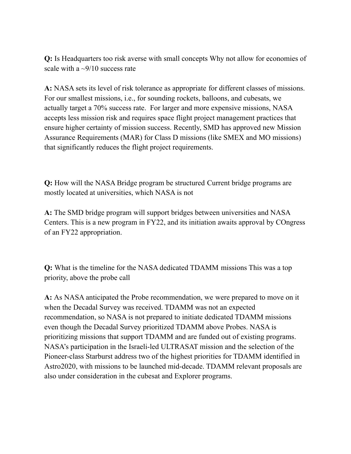**Q:** Is Headquarters too risk averse with small concepts Why not allow for economies of scale with a  $\sim$ 9/10 success rate

 **A:** NASA sets its level of risk tolerance as appropriate for different classes of missions. For our smallest missions, i.e., for sounding rockets, balloons, and cubesats, we actually target a 70% success rate. For larger and more expensive missions, NASA accepts less mission risk and requires space flight project management practices that ensure higher certainty of mission success. Recently, SMD has approved new Mission Assurance Requirements (MAR) for Class D missions (like SMEX and MO missions) that significantly reduces the flight project requirements.

 **Q:** How will the NASA Bridge program be structured Current bridge programs are mostly located at universities, which NASA is not

 **A:** The SMD bridge program will support bridges between universities and NASA Centers. This is a new program in FY22, and its initiation awaits approval by COngress of an FY22 appropriation.

 **Q:** What is the timeline for the NASA dedicated TDAMM missions This was a top priority, above the probe call

 **A:** As NASA anticipated the Probe recommendation, we were prepared to move on it when the Decadal Survey was received. TDAMM was not an expected recommendation, so NASA is not prepared to initiate dedicated TDAMM missions even though the Decadal Survey prioritized TDAMM above Probes. NASA is prioritizing missions that support TDAMM and are funded out of existing programs. NASA's participation in the Israeli-led ULTRASAT mission and the selection of the Pioneer-class Starburst address two of the highest priorities for TDAMM identified in Astro2020, with missions to be launched mid-decade. TDAMM relevant proposals are also under consideration in the cubesat and Explorer programs.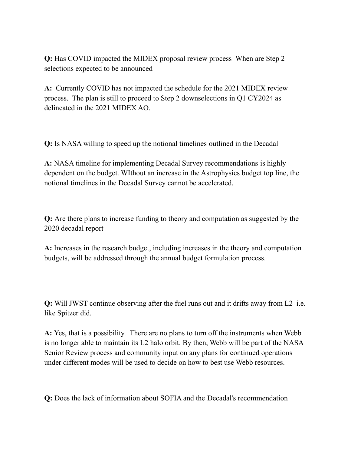**Q:** Has COVID impacted the MIDEX proposal review process When are Step 2 selections expected to be announced

 **A:** Currently COVID has not impacted the schedule for the 2021 MIDEX review process. The plan is still to proceed to Step 2 downselections in Q1 CY2024 as delineated in the 2021 MIDEX AO.

**Q:** Is NASA willing to speed up the notional timelines outlined in the Decadal

 **A:** NASA timeline for implementing Decadal Survey recommendations is highly dependent on the budget. WIthout an increase in the Astrophysics budget top line, the notional timelines in the Decadal Survey cannot be accelerated.

 **Q:** Are there plans to increase funding to theory and computation as suggested by the 2020 decadal report

 **A:** Increases in the research budget, including increases in the theory and computation budgets, will be addressed through the annual budget formulation process.

 **Q:** Will JWST continue observing after the fuel runs out and it drifts away from L2 i.e. like Spitzer did.

 **A:** Yes, that is a possibility. There are no plans to turn off the instruments when Webb is no longer able to maintain its L2 halo orbit. By then, Webb will be part of the NASA Senior Review process and community input on any plans for continued operations under different modes will be used to decide on how to best use Webb resources.

**Q:** Does the lack of information about SOFIA and the Decadal's recommendation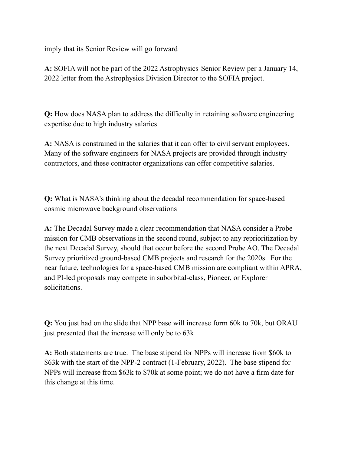imply that its Senior Review will go forward

 **A:** SOFIA will not be part of the 2022 Astrophysics Senior Review per a January 14, 2022 letter from the Astrophysics Division Director to the SOFIA project.

 **Q:** How does NASA plan to address the difficulty in retaining software engineering expertise due to high industry salaries

 **A:** NASA is constrained in the salaries that it can offer to civil servant employees. Many of the software engineers for NASA projects are provided through industry contractors, and these contractor organizations can offer competitive salaries.

 **Q:** What is NASA's thinking about the decadal recommendation for space-based cosmic microwave background observations

 **A:** The Decadal Survey made a clear recommendation that NASA consider a Probe mission for CMB observations in the second round, subject to any reprioritization by the next Decadal Survey, should that occur before the second Probe AO. The Decadal Survey prioritized ground-based CMB projects and research for the 2020s. For the near future, technologies for a space-based CMB mission are compliant within APRA, and PI-led proposals may compete in suborbital-class, Pioneer, or Explorer solicitations.

 **Q:** You just had on the slide that NPP base will increase form 60k to 70k, but ORAU just presented that the increase will only be to 63k

 **A:** Both statements are true. The base stipend for NPPs will increase from \$60k to \$63k with the start of the NPP-2 contract (1-February, 2022). The base stipend for NPPs will increase from \$63k to \$70k at some point; we do not have a firm date for this change at this time.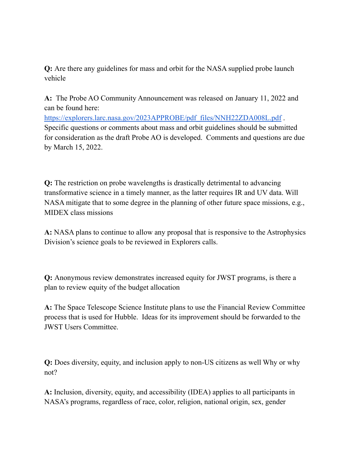**Q:** Are there any guidelines for mass and orbit for the NASA supplied probe launch vehicle

 **A:** The Probe AO Community Announcement was released on January 11, 2022 and can be found here:

 Specific questions or comments about mass and orbit guidelines should be submitted for consideration as the draft Probe AO is developed. Comments and questions are due by March 15, 2022. [https://explorers.larc.nasa.gov/2023APPROBE/pdf\\_files/NNH22ZDA008L.pdf](https://explorers.larc.nasa.gov/2023APPROBE/pdf_files/NNH22ZDA008L.pdf).

 **Q:** The restriction on probe wavelengths is drastically detrimental to advancing transformative science in a timely manner, as the latter requires IR and UV data. Will NASA mitigate that to some degree in the planning of other future space missions, e.g., MIDEX class missions

 **A:** NASA plans to continue to allow any proposal that is responsive to the Astrophysics Division's science goals to be reviewed in Explorers calls.

 **Q:** Anonymous review demonstrates increased equity for JWST programs, is there a plan to review equity of the budget allocation

 **A:** The Space Telescope Science Institute plans to use the Financial Review Committee process that is used for Hubble. Ideas for its improvement should be forwarded to the JWST Users Committee.

 **Q:** Does diversity, equity, and inclusion apply to non-US citizens as well Why or why not?

 **A:** Inclusion, diversity, equity, and accessibility (IDEA) applies to all participants in NASA's programs, regardless of race, color, religion, national origin, sex, gender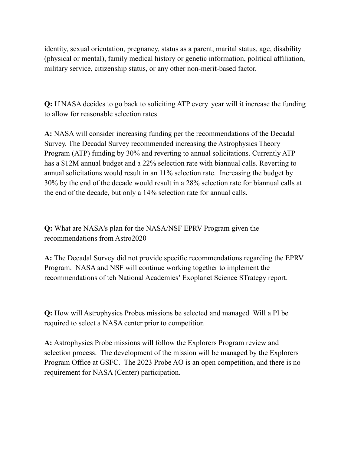identity, sexual orientation, pregnancy, status as a parent, marital status, age, disability (physical or mental), family medical history or genetic information, political affiliation, military service, citizenship status, or any other non-merit-based factor.

 **Q:** If NASA decides to go back to soliciting ATP every year will it increase the funding to allow for reasonable selection rates

 **A:** NASA will consider increasing funding per the recommendations of the Decadal Survey. The Decadal Survey recommended increasing the Astrophysics Theory Program (ATP) funding by 30% and reverting to annual solicitations. Currently ATP has a \$12M annual budget and a 22% selection rate with biannual calls. Reverting to annual solicitations would result in an 11% selection rate. Increasing the budget by 30% by the end of the decade would result in a 28% selection rate for biannual calls at the end of the decade, but only a 14% selection rate for annual calls.

 **Q:** What are NASA's plan for the NASA/NSF EPRV Program given the recommendations from Astro2020

 **A:** The Decadal Survey did not provide specific recommendations regarding the EPRV Program. NASA and NSF will continue working together to implement the recommendations of teh National Academies' Exoplanet Science STrategy report.

 **Q:** How will Astrophysics Probes missions be selected and managed Will a PI be required to select a NASA center prior to competition

 **A:** Astrophysics Probe missions will follow the Explorers Program review and selection process. The development of the mission will be managed by the Explorers Program Office at GSFC. The 2023 Probe AO is an open competition, and there is no requirement for NASA (Center) participation.